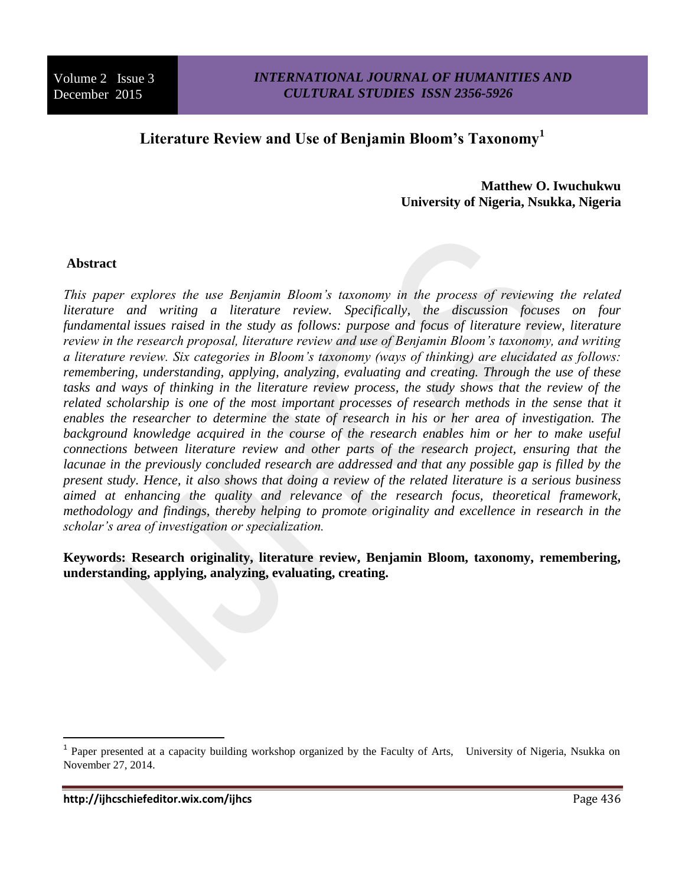# **Literature Review and Use of Benjamin Bloom's Taxonomy<sup>1</sup>**

**Matthew O. Iwuchukwu University of Nigeria, Nsukka, Nigeria**

## **Abstract**

*This paper explores the use Benjamin Bloom's taxonomy in the process of reviewing the related literature and writing a literature review. Specifically, the discussion focuses on four fundamental issues raised in the study as follows: purpose and focus of literature review, literature review in the research proposal, literature review and use of Benjamin Bloom's taxonomy, and writing a literature review. Six categories in Bloom's taxonomy (ways of thinking) are elucidated as follows: remembering, understanding, applying, analyzing, evaluating and creating. Through the use of these*  tasks and ways of thinking in the literature review process, the study shows that the review of the *related scholarship is one of the most important processes of research methods in the sense that it enables the researcher to determine the state of research in his or her area of investigation. The*  background knowledge acquired in the course of the research enables him or her to make useful *connections between literature review and other parts of the research project, ensuring that the lacunae in the previously concluded research are addressed and that any possible gap is filled by the present study. Hence, it also shows that doing a review of the related literature is a serious business aimed at enhancing the quality and relevance of the research focus, theoretical framework, methodology and findings, thereby helping to promote originality and excellence in research in the scholar's area of investigation or specialization.* 

**Keywords: Research originality, literature review, Benjamin Bloom, taxonomy, remembering, understanding, applying, analyzing, evaluating, creating.**

 $\overline{a}$ 

<sup>&</sup>lt;sup>1</sup> Paper presented at a capacity building workshop organized by the Faculty of Arts, University of Nigeria, Nsukka on November 27, 2014.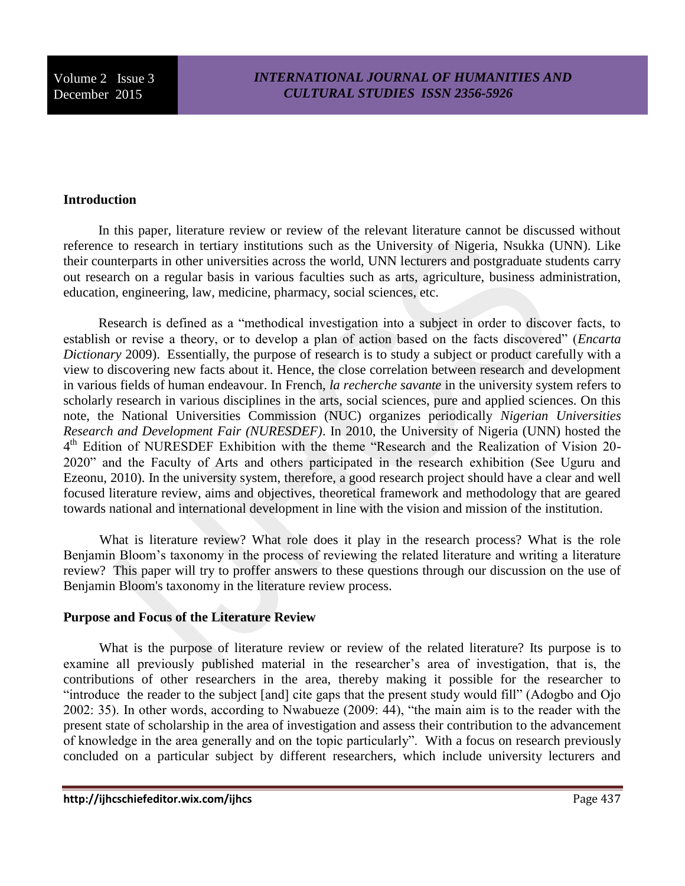#### **Introduction**

 In this paper, literature review or review of the relevant literature cannot be discussed without reference to research in tertiary institutions such as the University of Nigeria, Nsukka (UNN). Like their counterparts in other universities across the world, UNN lecturers and postgraduate students carry out research on a regular basis in various faculties such as arts, agriculture, business administration, education, engineering, law, medicine, pharmacy, social sciences, etc.

 Research is defined as a "methodical investigation into a subject in order to discover facts, to establish or revise a theory, or to develop a plan of action based on the facts discovered" (*Encarta Dictionary* 2009). Essentially, the purpose of research is to study a subject or product carefully with a view to discovering new facts about it. Hence, the close correlation between research and development in various fields of human endeavour. In French, *la recherche savante* in the university system refers to scholarly research in various disciplines in the arts, social sciences, pure and applied sciences. On this note, the National Universities Commission (NUC) organizes periodically *Nigerian Universities Research and Development Fair (NURESDEF)*. In 2010, the University of Nigeria (UNN) hosted the 4<sup>th</sup> Edition of NURESDEF Exhibition with the theme "Research and the Realization of Vision 20-2020" and the Faculty of Arts and others participated in the research exhibition (See Uguru and Ezeonu, 2010). In the university system, therefore, a good research project should have a clear and well focused literature review, aims and objectives, theoretical framework and methodology that are geared towards national and international development in line with the vision and mission of the institution.

 What is literature review? What role does it play in the research process? What is the role Benjamin Bloom's taxonomy in the process of reviewing the related literature and writing a literature review? This paper will try to proffer answers to these questions through our discussion on the use of Benjamin Bloom's taxonomy in the literature review process.

#### **Purpose and Focus of the Literature Review**

 What is the purpose of literature review or review of the related literature? Its purpose is to examine all previously published material in the researcher's area of investigation, that is, the contributions of other researchers in the area, thereby making it possible for the researcher to "introduce the reader to the subject [and] cite gaps that the present study would fill" (Adogbo and Ojo 2002: 35). In other words, according to Nwabueze (2009: 44), "the main aim is to the reader with the present state of scholarship in the area of investigation and assess their contribution to the advancement of knowledge in the area generally and on the topic particularly". With a focus on research previously concluded on a particular subject by different researchers, which include university lecturers and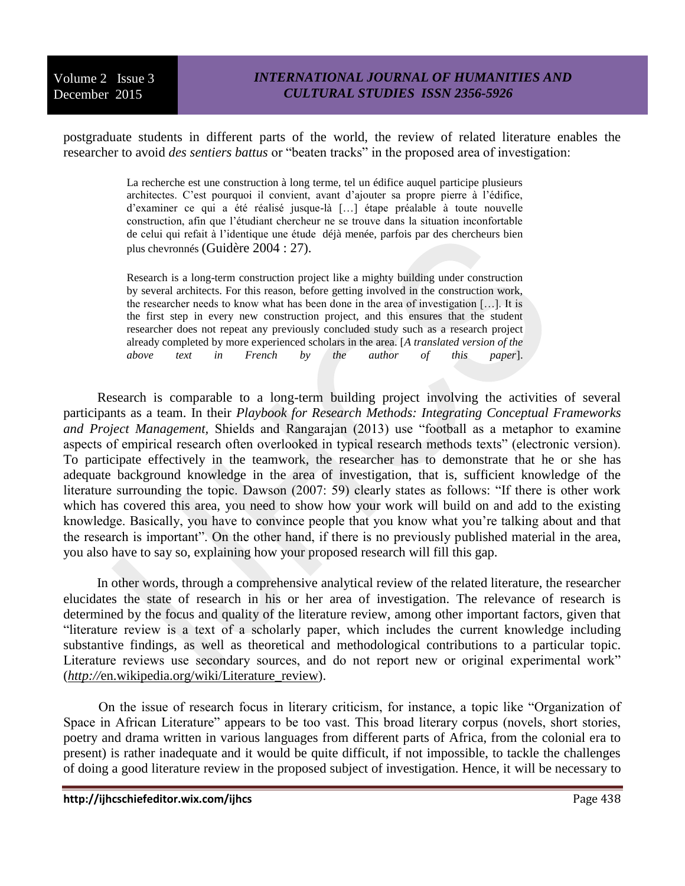postgraduate students in different parts of the world, the review of related literature enables the researcher to avoid *des sentiers battus* or "beaten tracks" in the proposed area of investigation:

> La recherche est une construction à long terme, tel un édifice auquel participe plusieurs architectes. C'est pourquoi il convient, avant d'ajouter sa propre pierre à l'édifice, d'examiner ce qui a été réalisé jusque-là […] étape préalable à toute nouvelle construction, afin que l'étudiant chercheur ne se trouve dans la situation inconfortable de celui qui refait à l'identique une étude déjà menée, parfois par des chercheurs bien plus chevronnés (Guidère 2004 : 27).

> Research is a long-term construction project like a mighty building under construction by several architects. For this reason, before getting involved in the construction work, the researcher needs to know what has been done in the area of investigation […]. It is the first step in every new construction project, and this ensures that the student researcher does not repeat any previously concluded study such as a research project already completed by more experienced scholars in the area. [*A translated version of the above text in French by the author of this paper*].

 Research is comparable to a long-term building project involving the activities of several participants as a team. In their *Playbook for Research Methods: Integrating Conceptual Frameworks and Project Management,* Shields and Rangarajan (2013) use "football as a metaphor to examine aspects of empirical research often overlooked in typical research methods texts" (electronic version). To participate effectively in the teamwork, the researcher has to demonstrate that he or she has adequate background knowledge in the area of investigation, that is, sufficient knowledge of the literature surrounding the topic. Dawson (2007: 59) clearly states as follows: "If there is other work which has covered this area, you need to show how your work will build on and add to the existing knowledge. Basically, you have to convince people that you know what you're talking about and that the research is important". On the other hand, if there is no previously published material in the area, you also have to say so, explaining how your proposed research will fill this gap.

 In other words, through a comprehensive analytical review of the related literature, the researcher elucidates the state of research in his or her area of investigation. The relevance of research is determined by the focus and quality of the literature review, among other important factors, given that "literature review is a text of a scholarly paper, which includes the current knowledge including substantive findings, as well as theoretical and methodological contributions to a particular topic. Literature reviews use secondary sources, and do not report new or original experimental work" (*http://*en.wikipedia.org/wiki/Literature\_review).

 On the issue of research focus in literary criticism, for instance, a topic like "Organization of Space in African Literature" appears to be too vast. This broad literary corpus (novels, short stories, poetry and drama written in various languages from different parts of Africa, from the colonial era to present) is rather inadequate and it would be quite difficult, if not impossible, to tackle the challenges of doing a good literature review in the proposed subject of investigation. Hence, it will be necessary to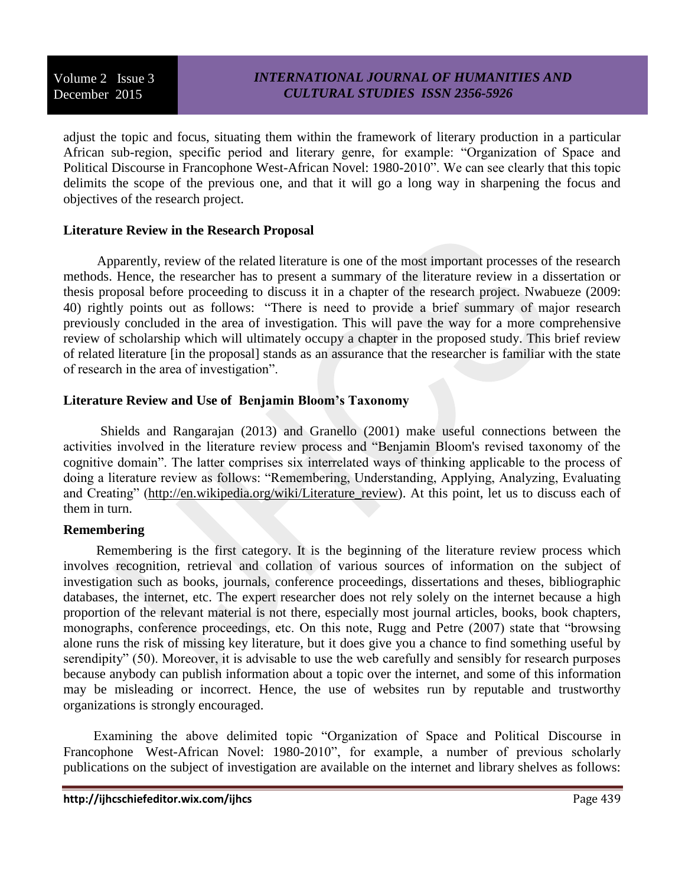adjust the topic and focus, situating them within the framework of literary production in a particular African sub-region, specific period and literary genre, for example: "Organization of Space and Political Discourse in Francophone West-African Novel: 1980-2010". We can see clearly that this topic delimits the scope of the previous one, and that it will go a long way in sharpening the focus and objectives of the research project.

## **Literature Review in the Research Proposal**

 Apparently, review of the related literature is one of the most important processes of the research methods. Hence, the researcher has to present a summary of the literature review in a dissertation or thesis proposal before proceeding to discuss it in a chapter of the research project. Nwabueze (2009: 40) rightly points out as follows: "There is need to provide a brief summary of major research previously concluded in the area of investigation. This will pave the way for a more comprehensive review of scholarship which will ultimately occupy a chapter in the proposed study. This brief review of related literature [in the proposal] stands as an assurance that the researcher is familiar with the state of research in the area of investigation".

## **Literature Review and Use of Benjamin Bloom's Taxonomy**

 Shields and Rangarajan (2013) and Granello (2001) make useful connections between the activities involved in the literature review process and "Benjamin Bloom's revised taxonomy of the cognitive domain". The latter comprises six interrelated ways of thinking applicable to the process of doing a literature review as follows: "Remembering, Understanding, Applying, Analyzing, Evaluating and Creating" [\(http://en.wikipedia.org/wiki/Literature\\_review\)](http://en.wikipedia.org/wiki/Literature_review). At this point, let us to discuss each of them in turn.

# **Remembering**

Remembering is the first category. It is the beginning of the literature review process which involves recognition, retrieval and collation of various sources of information on the subject of investigation such as books, journals, conference proceedings, dissertations and theses, bibliographic databases, the internet, etc. The expert researcher does not rely solely on the internet because a high proportion of the relevant material is not there, especially most journal articles, books, book chapters, monographs, conference proceedings, etc. On this note, Rugg and Petre (2007) state that "browsing alone runs the risk of missing key literature, but it does give you a chance to find something useful by serendipity" (50). Moreover, it is advisable to use the web carefully and sensibly for research purposes because anybody can publish information about a topic over the internet, and some of this information may be misleading or incorrect. Hence, the use of websites run by reputable and trustworthy organizations is strongly encouraged.

 Examining the above delimited topic "Organization of Space and Political Discourse in Francophone West-African Novel: 1980-2010", for example, a number of previous scholarly publications on the subject of investigation are available on the internet and library shelves as follows: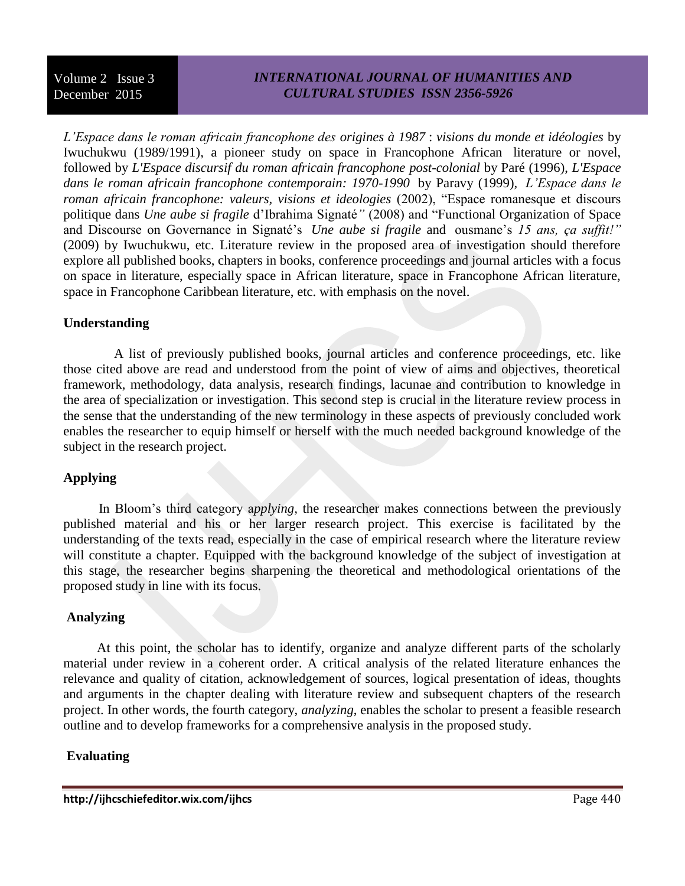# *INTERNATIONAL JOURNAL OF HUMANITIES AND CULTURAL STUDIES ISSN 2356-5926*

*L'Espace dans le roman africain francophone des origines à 1987* : *visions du monde et idéologies* by Iwuchukwu (1989/1991), a pioneer study on space in Francophone African literature or novel, followed by *L'Espace discursif du roman africain francophone post-colonial* by Paré (1996), *L'Espace dans le roman africain francophone contemporain: 1970-1990* by Paravy (1999), *L'Espace dans le roman africain francophone: valeurs, visions et ideologies* (2002), "Espace romanesque et discours politique dans *Une aube si fragile* d'Ibrahima Signaté*"* (2008) and "Functional Organization of Space and Discourse on Governance in Signaté's *Une aube si fragile* and ousmane's *15 ans, ça suffit!"* (2009) by Iwuchukwu, etc. Literature review in the proposed area of investigation should therefore explore all published books, chapters in books, conference proceedings and journal articles with a focus on space in literature, especially space in African literature, space in Francophone African literature, space in Francophone Caribbean literature, etc. with emphasis on the novel.

## **Understanding**

 A list of previously published books, journal articles and conference proceedings, etc. like those cited above are read and understood from the point of view of aims and objectives, theoretical framework, methodology, data analysis, research findings, lacunae and contribution to knowledge in the area of specialization or investigation. This second step is crucial in the literature review process in the sense that the understanding of the new terminology in these aspects of previously concluded work enables the researcher to equip himself or herself with the much needed background knowledge of the subject in the research project.

# **Applying**

 In Bloom's third category a*pplying,* the researcher makes connections between the previously published material and his or her larger research project. This exercise is facilitated by the understanding of the texts read, especially in the case of empirical research where the literature review will constitute a chapter. Equipped with the background knowledge of the subject of investigation at this stage, the researcher begins sharpening the theoretical and methodological orientations of the proposed study in line with its focus.

#### **Analyzing**

 At this point, the scholar has to identify, organize and analyze different parts of the scholarly material under review in a coherent order. A critical analysis of the related literature enhances the relevance and quality of citation, acknowledgement of sources, logical presentation of ideas, thoughts and arguments in the chapter dealing with literature review and subsequent chapters of the research project. In other words, the fourth category, *analyzing*, enables the scholar to present a feasible research outline and to develop frameworks for a comprehensive analysis in the proposed study.

# **Evaluating**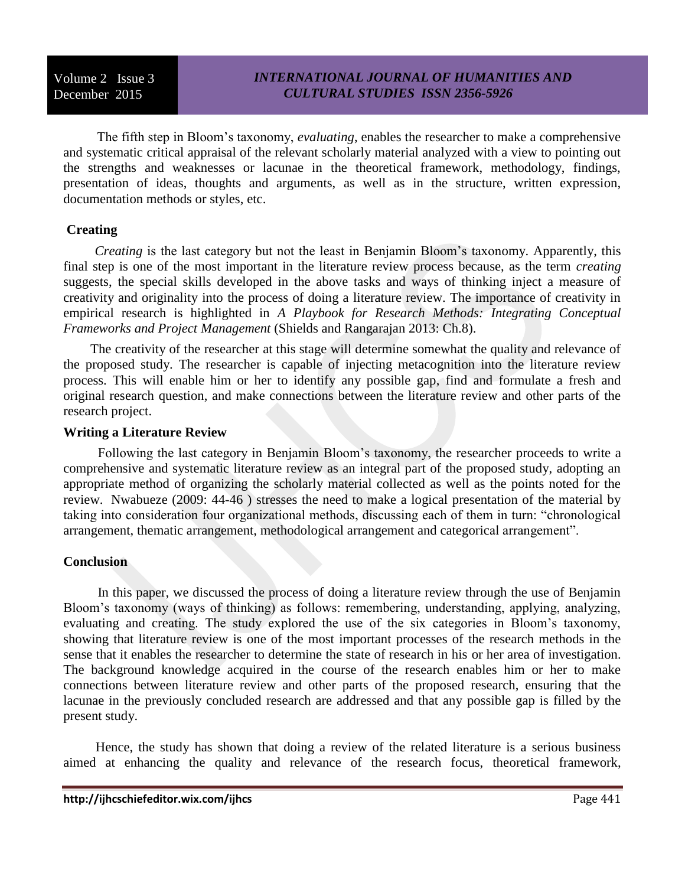The fifth step in Bloom's taxonomy, *evaluating*, enables the researcher to make a comprehensive and systematic critical appraisal of the relevant scholarly material analyzed with a view to pointing out the strengths and weaknesses or lacunae in the theoretical framework, methodology, findings, presentation of ideas, thoughts and arguments, as well as in the structure, written expression, documentation methods or styles, etc.

## **Creating**

 *Creating* is the last category but not the least in Benjamin Bloom's taxonomy. Apparently, this final step is one of the most important in the literature review process because, as the term *creating* suggests, the special skills developed in the above tasks and ways of thinking inject a measure of creativity and originality into the process of doing a literature review. The importance of creativity in empirical research is highlighted in *A Playbook for Research Methods: Integrating Conceptual Frameworks and Project Management* (Shields and Rangarajan 2013: Ch.8).

 The creativity of the researcher at this stage will determine somewhat the quality and relevance of the proposed study. The researcher is capable of injecting metacognition into the literature review process. This will enable him or her to identify any possible gap, find and formulate a fresh and original research question, and make connections between the literature review and other parts of the research project.

#### **Writing a Literature Review**

 Following the last category in Benjamin Bloom's taxonomy, the researcher proceeds to write a comprehensive and systematic literature review as an integral part of the proposed study, adopting an appropriate method of organizing the scholarly material collected as well as the points noted for the review. Nwabueze (2009: 44-46 ) stresses the need to make a logical presentation of the material by taking into consideration four organizational methods, discussing each of them in turn: "chronological arrangement, thematic arrangement, methodological arrangement and categorical arrangement".

# **Conclusion**

 In this paper, we discussed the process of doing a literature review through the use of Benjamin Bloom's taxonomy (ways of thinking) as follows: remembering, understanding, applying, analyzing, evaluating and creating. The study explored the use of the six categories in Bloom's taxonomy, showing that literature review is one of the most important processes of the research methods in the sense that it enables the researcher to determine the state of research in his or her area of investigation. The background knowledge acquired in the course of the research enables him or her to make connections between literature review and other parts of the proposed research, ensuring that the lacunae in the previously concluded research are addressed and that any possible gap is filled by the present study.

 Hence, the study has shown that doing a review of the related literature is a serious business aimed at enhancing the quality and relevance of the research focus, theoretical framework,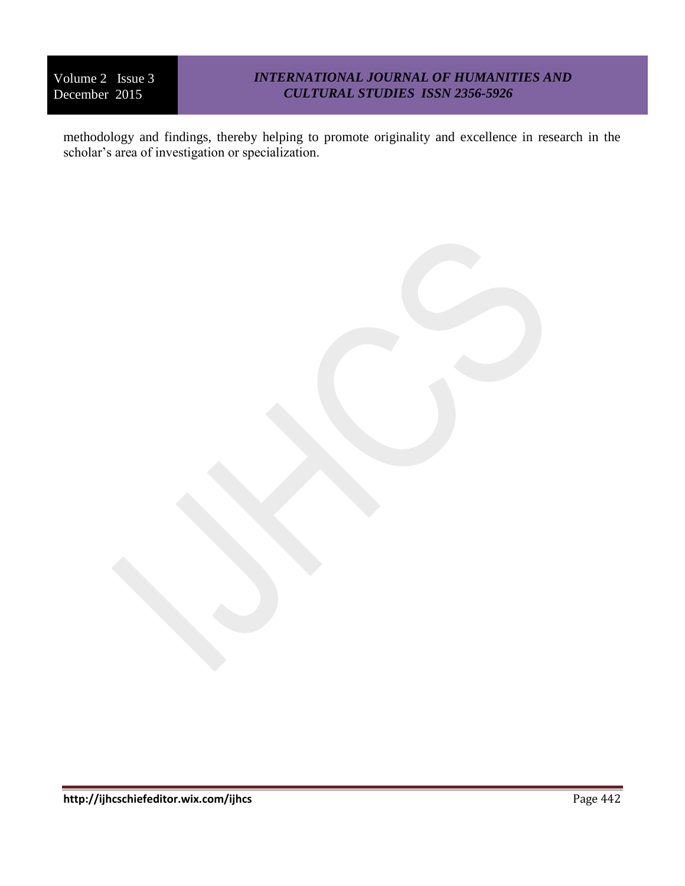# *INTERNATIONAL JOURNAL OF HUMANITIES AND CULTURAL STUDIES ISSN 2356-5926*

methodology and findings, thereby helping to promote originality and excellence in research in the scholar's area of investigation or specialization.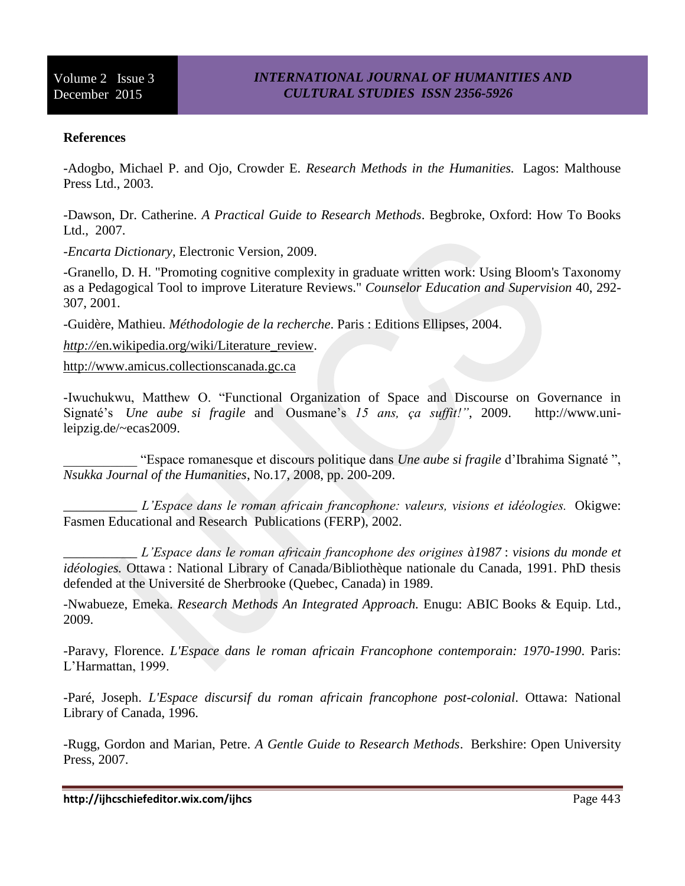#### **References**

-Adogbo, Michael P. and Ojo, Crowder E. *Research Methods in the Humanities.* Lagos: Malthouse Press Ltd., 2003.

-Dawson, Dr. Catherine. *A Practical Guide to Research Methods*. Begbroke, Oxford: How To Books Ltd., 2007.

-*Encarta Dictionary*, Electronic Version, 2009.

-Granello, D. H. "Promoting cognitive complexity in graduate written work: Using Bloom's Taxonomy as a Pedagogical Tool to improve Literature Reviews." *Counselor Education and Supervision* 40, 292- 307, 2001.

-Guidère, Mathieu. *Méthodologie de la recherche*. Paris : Editions Ellipses, 2004.

*http://*[en.wikipedia.org/wiki/Literature\\_review.](http://en.wikipedia.org/wiki/Literature_review)

[http://www.amicus.collectionscanada.gc.ca](http://www.amicus.collectionscanada.gc.ca/)

-Iwuchukwu, Matthew O. "Functional Organization of Space and Discourse on Governance in Signaté's *Une aube si fragile* and Ousmane's *15 ans, ça suffit!"*, 2009. http://www.unileipzig.de/~ecas2009.

\_\_\_\_\_\_\_\_\_\_\_ "Espace romanesque et discours politique dans *Une aube si fragile* d'Ibrahima Signaté ", *Nsukka Journal of the Humanities*, No.17, 2008, pp. 200-209.

\_\_\_\_\_\_\_\_\_\_\_ *L'Espace dans le roman africain francophone: valeurs, visions et idéologies.* Okigwe: Fasmen Educational and Research Publications (FERP), 2002.

\_\_\_\_\_\_\_\_\_\_\_ *L'Espace dans le roman africain francophone des origines à1987* : *visions du monde et idéologies.* Ottawa : National Library of Canada/Bibliothèque nationale du Canada, 1991. PhD thesis defended at the Université de Sherbrooke (Quebec, Canada) in 1989.

-Nwabueze, Emeka. *Research Methods An Integrated Approach.* Enugu: ABIC Books & Equip. Ltd., 2009.

-Paravy, Florence. *L'Espace dans le roman africain Francophone contemporain: 1970-1990*. Paris: L'Harmattan, 1999.

-Paré, Joseph. *L'Espace discursif du roman africain francophone post-colonial*. Ottawa: National Library of Canada, 1996.

-Rugg, Gordon and Marian, Petre. *A Gentle Guide to Research Methods*. Berkshire: Open University Press, 2007.

**http://ijhcschiefeditor.wix.com/ijhcs** Page 443